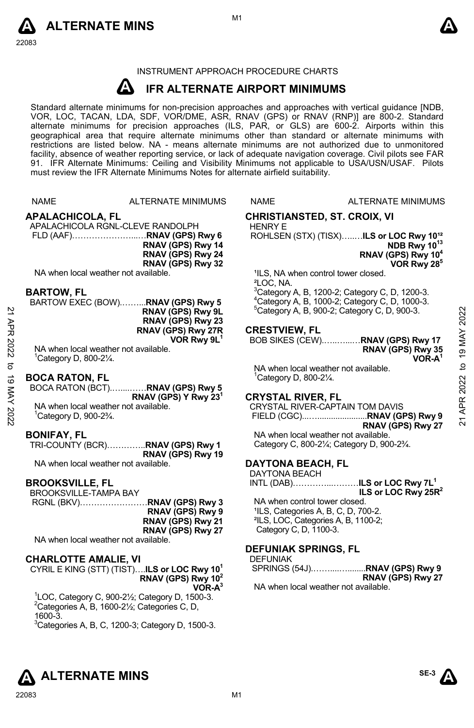



# INSTRUMENT APPROACH PROCEDURE CHARTS

#### **A IFR ALTERNATE AIRPORT MINIMUMS**

Standard alternate minimums for non-precision approaches and approaches with vertical guidance [NDB,<br>VOR, LOC, TACAN, LDA, SDF, VOR/DME, ASR, RNAV (GPS) or RNAV (RNP)] are 800-2. Standard alternate minimums for precision approaches (ILS, PAR, or GLS) are 600-2. Airports within this geographical area that require alternate minimums other than standard or alternate minimums with restrictions are listed below. NA - means alternate minimums are not authorized due to unmonitored facility, absence of weather reporting service, or lack of adequate navigation coverage. Civil pilots see FAR 91. IFR Alternate Minimums: Ceiling and Visibility Minimums not applicable to USA/USN/USAF. Pilots must review the IFR Alternate Minimums Notes for alternate airfield suitability.

# **APALACHICOLA, FL**

APALACHICOLA RGNL-CLEVE RANDOLPH FLD (AAF)…………………...…**RNAV (GPS) Rwy 6 RNAV (GPS) Rwy 14 RNAV (GPS) Rwy 24 RNAV (GPS) Rwy 32** 

NA when local weather not available.

#### **BARTOW, FL**

| 2        | BARTOW EXEC (BOW)RNAV (GPS) Rwy 5<br>RNAV (GPS) Rwy 9L<br>RNAV (GPS) Rwy 23 | "Category A, B, 1000-2; Category C, D, 1000-3.<br>$5$ Category A, B, 900-2; Category C, D, 900-3. | 2022   |
|----------|-----------------------------------------------------------------------------|---------------------------------------------------------------------------------------------------|--------|
|          | RNAV (GPS) Rwy 27R                                                          | <b>CRESTVIEW, FL</b>                                                                              |        |
|          | VOR Rwy 9L <sup>1</sup>                                                     | BOB SIKES (CEW)RNAV (GPS) Rwy 17                                                                  |        |
| 2022     | NA when local weather not available.<br>Category D, 800-21/4.               | RNAV (GPS) Rwy 35<br>VOR-A'                                                                       | 19 MAY |
|          |                                                                             | NA when local weather not available.                                                              | ₫      |
| ಹ        | <b>BOCA RATON, FL</b><br>BOCA RATON (BCT)RNAV (GPS) Rwy 5                   | Category D, 800-21/4.                                                                             | 2022   |
|          | RNAV (GPS) Y Rwy 23 <sup>1</sup>                                            | <b>CRYSTAL RIVER, FL</b>                                                                          | œ      |
|          | NA when local weather not available.                                        | CRYSTAL RIVER-CAPTAIN TOM DAVIS                                                                   |        |
| MAY 2022 | <sup>1</sup> Category D, 900-2 <sup>3</sup> / <sub>4</sub> .                | <b>DNAV (CDC)</b> Dunc 27                                                                         | ম      |

#### **BOCA RATON, FL**

#### **BONIFAY, FL**

TRI-COUNTY (BCR)…………..**RNAV (GPS) Rwy 1 RNAV (GPS) Rwy 19**

NA when local weather not available.

#### **BROOKSVILLE, FL**

BROOKSVILLE-TAMPA BAY<br>RGNL (BKV)

|                                                                                                                                                                                                                                | RGNL (BKV)…………………… <b>RNAV (GPS) Rwy 3</b> |
|--------------------------------------------------------------------------------------------------------------------------------------------------------------------------------------------------------------------------------|--------------------------------------------|
|                                                                                                                                                                                                                                | RNAV (GPS) Rwy 9                           |
|                                                                                                                                                                                                                                | RNAV (GPS) Rwy 21                          |
|                                                                                                                                                                                                                                | RNAV (GPS) Rwy 27                          |
| A LA contactor change to contact the annual contact and the back of the back of the back of the back of the back of the back of the back of the back of the back of the back of the back of the back of the back of the back o |                                            |

NA when local weather not available.

#### **CHARLOTTE AMALIE, VI**

CYRIL E KING (STT) (TIST)….**ILS or LOC Rwy 101 RNAV (GPS) Rwy 102 VOR-A3** 

 $1$ LOC, Category C, 900-2 $\frac{1}{2}$ ; Category D, 1500-3.  ${}^{2}$ Categories A, B, 1600-21/<sub>2</sub>; Categories C, D, 1600-3.  $3$ Categories A, B, C, 1200-3; Category D, 1500-3.

NAME ALTERNATE MINIMUMS

# **CHRISTIANSTED, ST. CROIX, VI**

HENRY E ROHLSEN (STX) (TISX)........ILS or LOC Rwy 10<sup>12</sup> **NDB Rwy 10<sup>13</sup>** 

**RNAV (GPS) Rwy 104 VOR Rwy 285** 

1LS, NA when control tower closed. ²LOC, NA. <sup>3</sup> Category A, B, 1200-2; Category C, D, 1200-3.<br><sup>4</sup> Category A, B, 1000.2; Category C, D, 1000.3.  $^{4}$ Category A, B, 1000-2; Category C, D, 1000-3. <sup>5</sup> Category A, B, 900-2; Category C, D, 900-3.

#### **CRESTVIEW, FL**

# **CRYSTAL RIVER, FL**

CRYSTAL RIVER-CAPTAIN TOM DAVIS FIELD (CGC)...…......................**RNAV (GPS) Rwy 9 RNAV (GPS) Rwy 27**

NA when local weather not available. Category C, 800-2¼; Category D, 900-2¾.

#### **DAYTONA BEACH, FL**

DAYTONA BEACH

INTL (DAB)…………...………**ILS or LOC Rwy 7L1 ILS or LOC Rwy 25R2** 

NA when control tower closed. 'ILS, Categories A, B, C, D, 700-2. ²ILS, LOC, Categories A, B, 1100-2; Category C, D, 1100-3.

#### **DEFUNIAK SPRINGS, FL**

| <b>DEFUNIAK</b>                      |                   |
|--------------------------------------|-------------------|
|                                      |                   |
|                                      | RNAV (GPS) Rwy 27 |
| NA when local weather not available. |                   |



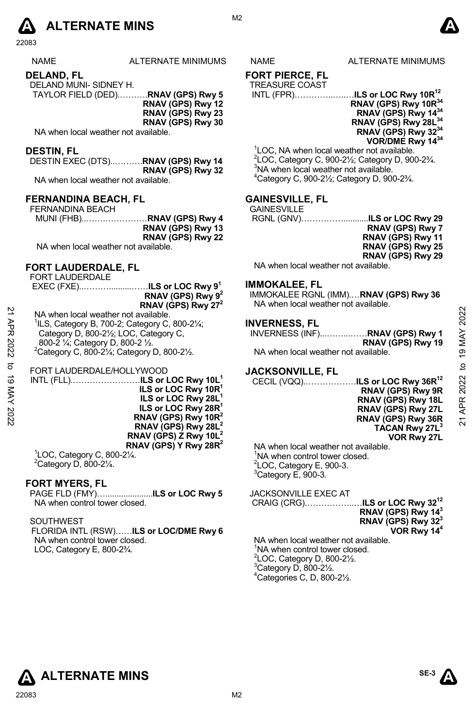

| <b>NAME</b>           | ALTERNATE MINIMUMS |
|-----------------------|--------------------|
| DELAND, FL            |                    |
| ___. _  . _ _ _ _ _ . |                    |

DELAND MUNI- SIDNEY H. TAYLOR FIELD (DED).……….**RNAV (GPS) Rwy 5** 

**RNAV (GPS) Rwy 12 RNAV (GPS) Rwy 23 RNAV (GPS) Rwy 30** 

NA when local weather not available.

### **DESTIN, FL**

DESTIN EXEC (DTS)..……….**RNAV (GPS) Rwy 14 RNAV (GPS) Rwy 32**  NA when local weather not available.

# **FERNANDINA BEACH, FL**

| FERNANDINA BEACH                     |                   |
|--------------------------------------|-------------------|
| MUNI (FHB)RNAV (GPS) Rwy 4           |                   |
|                                      | RNAV (GPS) Rwy 13 |
|                                      | RNAV (GPS) Rwy 22 |
| NA when local weather not available. |                   |

# **FORT LAUDERDALE, FL**

FORT LAUDERDALE

 EXEC (FXE)..………..........……**ILS or LOC Rwy 91 RNAV (GPS) Rwy 92 RNAV (GPS) Rwy 272** 

| $\overline{a}$<br>APR<br>2022 | NA when local weather not available.<br><sup>1</sup> ILS, Category B, 700-2; Category C, 800-21/ <sub>4</sub> ;<br>Category D, 800-21/2; LOC, Category C,<br>800-2 1/4; Category D, 800-2 1/2.<br><sup>2</sup> Category C, 800-21/ <sub>4</sub> ; Category D, 800-21/ <sub>2</sub> .                                                                             | <b>INVERNESS, FL</b><br>INVERNESS (INF)RNAV (GPS) Rwy 1<br>RNAV (GPS) Rwy 19<br>NA when local weather not available.                                                                                                                                                                                            | 2022<br>19 MAY                  |
|-------------------------------|------------------------------------------------------------------------------------------------------------------------------------------------------------------------------------------------------------------------------------------------------------------------------------------------------------------------------------------------------------------|-----------------------------------------------------------------------------------------------------------------------------------------------------------------------------------------------------------------------------------------------------------------------------------------------------------------|---------------------------------|
| ಕ<br>ಹ<br>XAN<br>2022         | FORT LAUDERDALE/HOLLYWOOD<br>INTL (FLL)ILS or LOC Rwy 10L <sup>1</sup><br>ILS or LOC Rwy 10R <sup>1</sup><br>ILS or LOC Rwy 28L<br>ILS or LOC Rwy 28R <sup>1</sup><br>RNAV (GPS) Rwy 10R <sup>2</sup><br>RNAV (GPS) Rwy 28L <sup>2</sup><br>RNAV (GPS) Z Rwy 10L <sup>2</sup><br>RNAV (GPS) Y Rwy 28R <sup>2</sup><br>$\mathrm{^{1}LOC}$ . Category C. 800-21⁄4. | <b>JACKSONVILLE, FL</b><br>CECIL (VQQ) <b>ILS or LOC Rwy 36R<sup>12</sup></b><br>RNAV (GPS) Rwy 9R<br>RNAV (GPS) Rwy 18L<br>RNAV (GPS) Rwy 27L<br>RNAV (GPS) Rwy 36R<br>TACAN Rwy 27L <sup>3</sup><br>VOR Rwy 27L<br>NA when local weather not available.<br>$\mu_{\rm max}$ awat lomma nedw $\Delta M^{\rm f}$ | ₽<br>APR 2022<br>$\overline{2}$ |

<sup>1</sup>LOC, Category C, 800-2¼.<br><sup>2</sup>Category D, 800-2¼.

# **FORT MYERS, FL**

PAGE FLD (FMY)….....................**ILS or LOC Rwy 5** NA when control tower closed.

# SOUTHWEST

FLORIDA INTL (RSW)……**ILS or LOC/DME Rwy 6**  NA when control tower closed. LOC, Category E, 800-2¾.

S NAME ALTERNATE MINIMUMS

# **FORT PIERCE, FL**

TREASURE COAST

 INTL (FPR)…………..…..…**ILS or LOC Rwy 10R12 RNAV (GPS) Rwy 10R34 RNAV (GPS) Rwy 1434 RNAV (GPS) Rwy 28L34 RNAV (GPS) Rwy 3234 VOR/DME Rwy 1434** 

<sup>1</sup>LOC, NA when local weather not available.  $^{2}$ LOC, Category C, 900-2½; Category D, 900-2¾.  $3$ NA when local weather not available. 4 Category C, 900-2½; Category D, 900-2¾.

# **GAINESVILLE, FL**

| <b>GAINESVILLE</b> |                         |
|--------------------|-------------------------|
|                    |                         |
|                    | <b>RNAV (GPS) Rwy 7</b> |
|                    | RNAV (GPS) Rwy 11       |
|                    | RNAV (GPS) Rwy 25       |
|                    | RNAV (GPS) Rwy 29       |
|                    |                         |

NA when local weather not available.

# **IMMOKALEE, FL**

IMMOKALEE RGNL (IMM).…**RNAV (GPS) Rwy 36**  NA when local weather not available.

# **INVERNESS, FL**

|                                      | INVERNESS (INF)RNAV (GPS) Rwy 1 |
|--------------------------------------|---------------------------------|
|                                      | RNAV (GPS) Rwy 19               |
| NA when local weather not available. |                                 |

# **JACKSONVILLE, FL**

NA when local weather not available. <sup>1</sup>NA when control tower closed.  $2$ LOC, Category E, 900-3.  $3$ Category E, 900-3.

JACKSONVILLE EXEC AT

 CRAIG (CRG).……………..…**ILS or LOC Rwy 3212 RNAV (GPS) Rwy 143 RNAV (GPS) Rwy 323 VOR Rwy 144** 

NA when local weather not available. <sup>1</sup>NA when control tower closed.  $2^2$ LOC, Category D, 800-2 $\frac{1}{2}$ .  $3$ Category D, 800-2 $\frac{1}{2}$ . 4 Categories C, D, 800-2½.



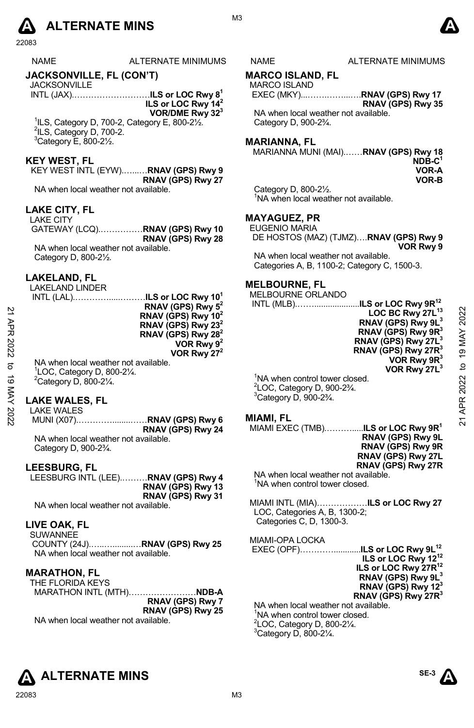# **A** ALTERNATE MINS  $\bullet$

| <b>NAME</b> | ALTERNATE MINIMUMS |
|-------------|--------------------|
|             |                    |

# **JACKSONVILLE, FL (CON'T)**

**JACKSONVILLE** INTL (JAX).………………………**ILS or LOC Rwy 81 ILS or LOC Rwy 142** 

**VOR/DME Rwy 323**  <sup>1</sup>ILS, Category D, 700-2, Category E, 800-2½.<sup>2</sup><br><sup>2</sup>ILS, Category D, 700-2  $\frac{21}{2}$ ILS, Category D, 700-2.  $3$ Category E,  $800-2\frac{1}{2}$ .

# **KEY WEST, FL**

KEY WEST INTL (EYW).…...…**RNAV (GPS) Rwy 9 RNAV (GPS) Rwy 27** 

NA when local weather not available.

#### **LAKE CITY, FL**

LAKE CITY GATEWAY (LCQ).……………**RNAV (GPS) Rwy 10 RNAV (GPS) Rwy 28**  NA when local weather not available. Category D, 800-2½.

#### **LAKELAND, FL**

LAKELAND LINDER

| APR<br>2022<br>ಕ<br>ಠ<br>⋚ | ILS or LOC Rwy $10^1$<br>INTL (LAL)<br>RNAV (GPS) Rwy 5 <sup>2</sup><br>RNAV (GPS) Rwy 10 <sup>2</sup><br>RNAV (GPS) Rwy 23 <sup>2</sup><br>RNAV (GPS) Rwy 28 <sup>2</sup><br>VOR Rwy $9^2$<br>VOR Rwy $27^2$<br>NA when local weather not available.<br>LOC, Category D, 800-21/4.<br>$2$ Category D, 800-2 $\frac{1}{4}$ . | MELBOURNE ORLANDO<br>.ILS or LOC Rwy 9R <sup>12</sup><br><b>INTL (MLB)</b><br>LOC BC Rwy 27L <sup>13</sup><br>RNAV (GPS) Rwy 9L <sup>3</sup><br>RNAV (GPS) Rwy 9R <sup>3</sup><br>RNAV (GPS) Rwy 27L <sup>3</sup><br>RNAV (GPS) Rwy 27R <sup>3</sup><br>VOR Rwy 9R <sup>3</sup><br>VOR Rwy 27L <sup>3</sup><br>NA when control tower closed.<br>$^{2}$ LOC, Category D, 900-2 $\frac{3}{4}$ .<br>$3$ Category D, 900-2 $\frac{3}{4}$ . | 2022<br>19 MAY<br>₽<br>2022 |
|----------------------------|------------------------------------------------------------------------------------------------------------------------------------------------------------------------------------------------------------------------------------------------------------------------------------------------------------------------------|----------------------------------------------------------------------------------------------------------------------------------------------------------------------------------------------------------------------------------------------------------------------------------------------------------------------------------------------------------------------------------------------------------------------------------------|-----------------------------|
|                            | <b>LAKE WALES, FL</b><br><b>LAKE WALES</b>                                                                                                                                                                                                                                                                                   |                                                                                                                                                                                                                                                                                                                                                                                                                                        | ᅂ                           |
| 2022                       | .RNAV (GPS) Rwy 6<br>MUNI (X07)                                                                                                                                                                                                                                                                                              | <b>MIAMI, FL</b>                                                                                                                                                                                                                                                                                                                                                                                                                       | ಸ                           |

# **LAKE WALES, FL**

LAKE WALES MUNI (X07).…………........……**RNAV (GPS) Rwy 6 RNAV (GPS) Rwy 24** 

NA when local weather not available. Category D, 900-2¾.

#### **LEESBURG, FL**

LEESBURG INTL (LEE).………**RNAV (GPS) Rwy 4 RNAV (GPS) Rwy 13 RNAV (GPS) Rwy 31**  NA when local weather not available.

# **LIVE OAK, FL**

SUWANNEE COUNTY (24J).…..….........…**RNAV (GPS) Rwy 25** NA when local weather not available.

# **MARATHON, FL**

THE FLORIDA KEYS MARATHON INTL (MTH)……………………**NDB-A RNAV (GPS) Rwy 7 RNAV (GPS) Rwy 25** 

NA when local weather not available.

M3

### S NAME ALTERNATE MINIMUMS

# **MARCO ISLAND, FL**

MARCO ISLAND EXEC (MKY)...…….……...….**RNAV (GPS) Rwy 17 RNAV (GPS) Rwy 35**  NA when local weather not available. Category D, 900-2¾.

**MARIANNA, FL** 

MARIANNA MUNI (MAI).……**RNAV (GPS) Rwy 18 NDB-C1 VOR-A VOR-B**

Category D, 800-2½. <sup>1</sup>NA when local weather not available.

## **MAYAGUEZ, PR**

EUGENIO MARIA DE HOSTOS (MAZ) (TJMZ)….**RNAV (GPS) Rwy 9** 

**VOR Rwy 9** 

NA when local weather not available. Categories A, B, 1100-2; Category C, 1500-3.

# **MELBOURNE, FL**

MELBOURNE ORLANDO **INTL (MLB)...............** 

| ILS or LOC Rwy 9R <sup>12</sup> |
|---------------------------------|
|                                 |
| LOC BC Rwy 27L <sup>13</sup>    |
| RNAV (GPS) Rwy 9L <sup>3</sup>  |
| RNAV (GPS) Rwy $9R^3$           |
| RNAV (GPS) Rwy 27L <sup>3</sup> |
| RNAV (GPS) Rwy 27R <sup>3</sup> |
| VOR Rwy 9R <sup>3</sup>         |
| VOR Rwy 27L <sup>3</sup>        |
|                                 |
| ar closad                       |

#### **MIAMI, FL**

| MIAMI EXEC (TMB).…………. <b>ILS or LOC Rwy 9R</b> <sup>1</sup> |                           |
|--------------------------------------------------------------|---------------------------|
|                                                              | RNAV (GPS) Rwy 9L         |
|                                                              | <b>RNAV (GPS) Rwy 9R</b>  |
|                                                              | <b>RNAV (GPS) Rwy 27L</b> |
|                                                              | RNAV (GPS) Rwy 27R        |
| MA whon local woother not quoilehle                          |                           |

NA when local weather not available. <sup>1</sup>NA when control tower closed.

MIAMI INTL (MIA)………………**ILS or LOC Rwy 27** LOC, Categories A, B, 1300-2; Categories C, D, 1300-3.

MIAMI-OPA LOCKA

 EXEC (OPF)…………............**ILS or LOC Rwy 9L12 ILS or LOC Rwy 1212 ILS or LOC Rwy 27R12 RNAV (GPS) Rwy 9L3 RNAV (GPS) Rwy 123 RNAV (GPS) Rwy 27R3** NA when local weather not available. <sup>1</sup>NA when control tower closed.  $2^2$ LOC, Category D, 800-2 $\frac{1}{4}$ .

 $3$ Category D, 800-2 $\frac{1}{4}$ .



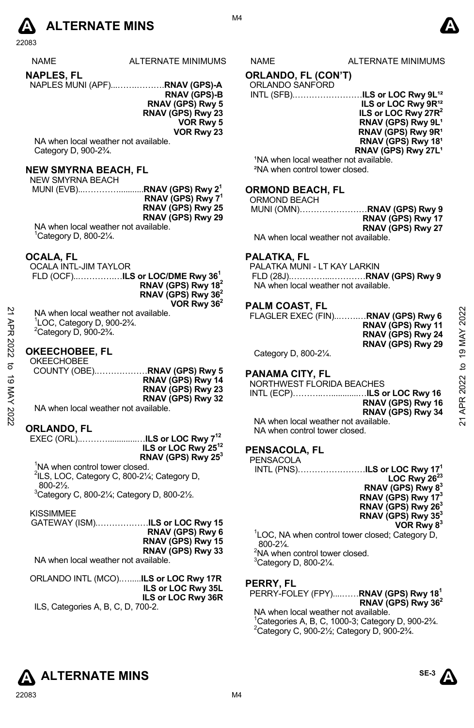

**NAPLES, FL**  NAPLES MUNI (APF)...…….……….**RNAV (GPS)-A**

**RNAV (GPS)-B RNAV (GPS) Rwy 5 RNAV (GPS) Rwy 23 VOR Rwy 5 VOR Rwy 23**

NA when local weather not available. Category D, 900-2¾.

# **NEW SMYRNA BEACH, FL**

NEW SMYRNA BEACH

 MUNI (EVB)...…………...........**RNAV (GPS) Rwy 21 RNAV (GPS) Rwy 71 RNAV (GPS) Rwy 25 RNAV (GPS) Rwy 29**  NA when local weather not available.

1 Category D, 800-2¼.

#### **OCALA, FL**

OCALA INTL-JIM TAYLOR

 FLD (OCF)..………….…**ILS or LOC/DME Rwy 361 RNAV (GPS) Rwy 182 RNAV (GPS) Rwy 362 VOR Rwy 362** 

# **OKEECHOBEE, FL**

| 2<br>АPR | NA when local weather not available.<br>$\degree$ LOC, Category D, 900-2 $\frac{3}{4}$ .<br>$2$ Category D, 900-2 $\frac{3}{4}$ . | <u>. ALIT VUAVI, LE</u><br>FLAGLER EXEC (FIN)RNAV (GPS) Rwy 6<br>RNAV (GPS) Rwy 11<br>RNAV (GPS) Rwy 24<br>RNAV (GPS) Rwy 29 | 2022<br>MAY    |
|----------|-----------------------------------------------------------------------------------------------------------------------------------|------------------------------------------------------------------------------------------------------------------------------|----------------|
| 2022     | <b>OKEECHOBEE, FL</b>                                                                                                             | Category D, 800-21/4.                                                                                                        | $\overline{9}$ |
| ನ<br>ಕ   | <b>OKEECHOBEE</b><br>RNAV (GPS) Rwy 14<br>RNAV (GPS) Rwy 23<br>RNAV (GPS) Rwy 32                                                  | <b>PANAMA CITY, FL</b><br>NORTHWEST FLORIDA BEACHES<br>RNAV (GPS) Rwy 16                                                     | ₫<br>2022      |
| 202      | NA when local weather not available.                                                                                              | RNAV (GPS) Rwy 34                                                                                                            | APR            |
|          |                                                                                                                                   | NA when local weather not available.                                                                                         | ম              |

# **ORLANDO, FL**

EXEC (ORL)..……….............…**ILS or LOC Rwy 712 ILS or LOC Rwy 2512 RNAV (GPS) Rwy 253** 

<sup>1</sup>NA when control tower closed. <sup>2</sup>ILS, LOC, Category C, 800-21/<sub>4</sub>; Category D, 800-2½.

 $3$ Category C, 800-2 $\frac{1}{4}$ ; Category D, 800-2 $\frac{1}{2}$ .

#### KISSIMMEE

GATEWAY (ISM).………………**ILS or LOC Rwy 15 RNAV (GPS) Rwy 6 RNAV (GPS) Rwy 15 RNAV (GPS) Rwy 33**  NA when local weather not available.

ORLANDO INTL (MCO).….....**ILS or LOC Rwy 17R ILS or LOC Rwy 35L ILS or LOC Rwy 36R** 

ILS, Categories A, B, C, D, 700-2.

M4

#### ALTERNATE MINIMUMS NAME ALTERNATE MINIMUMS

**A** 

# **ORLANDO, FL (CON'T)**

# ORLANDO SANFORD

| INTL (SFB) <b>ILS or LOC Rwy 9L'</b> <del>?</del> |
|---------------------------------------------------|
| ILS or LOC Rwy 9R <sup>12</sup>                   |
| ILS or LOC Rwy 27R <sup>2</sup>                   |
| RNAV (GPS) Rwy 9L <sup>1</sup>                    |
| RNAV (GPS) Rwy 9R <sup>1</sup>                    |
| RNAV (GPS) Rwy 18 <sup>1</sup>                    |
| RNAV (GPS) Rwy 27L <sup>1</sup>                   |
|                                                   |

<sup>1</sup>NA when local weather not available. ²NA when control tower closed.

# **ORMOND BEACH, FL**

ORMOND BEACH

MUNI (OMN)……………………**RNAV (GPS) Rwy 9 RNAV (GPS) Rwy 17 RNAV (GPS) Rwy 27** 

NA when local weather not available.

#### **PALATKA, FL**

PALATKA MUNI - LT KAY LARKIN FLD (28J).…………...…………**RNAV (GPS) Rwy 9**  NA when local weather not available.

# **PALM COAST, FL**

# **PANAMA CITY, FL**

|  |  |  | INTL (ECP)ILS or LOC Rwy 16 |
|--|--|--|-----------------------------|
|  |  |  | RNAV (GPS) Rwy 16           |
|  |  |  | RNAV (GPS) Rwy 34           |
|  |  |  |                             |

NA when local weather not available. NA when control tower closed.

# **PENSACOLA, FL**

| PENSACOLA |                 |
|-----------|-----------------|
|           |                 |
|           | $100 \text{ P}$ |

**LOC Rwy 2623 RNAV (GPS) Rwy 83 RNAV (GPS) Rwy 173 RNAV (GPS) Rwy 263 RNAV (GPS) Rwy 353 VOR Rwy 83**

<sup>1</sup>LOC, NA when control tower closed; Category D, 800-2¼.  $2$ NA when control tower closed.  $3$ Category D, 800-2 $\frac{1}{4}$ .

# **PERRY, FL**

PERRY-FOLEY (FPY)....……**RNAV (GPS) Rwy 181** 

**RNAV (GPS) Rwy 362**  NA when local weather not available.  $^{1}$ Categories A, B, C, 1000-3; Category D, 900-2<sup>3</sup>/<sub>4</sub>.  $^{2}$ Category C, 900-21/<sub>2</sub>; Category D, 900-23/4.

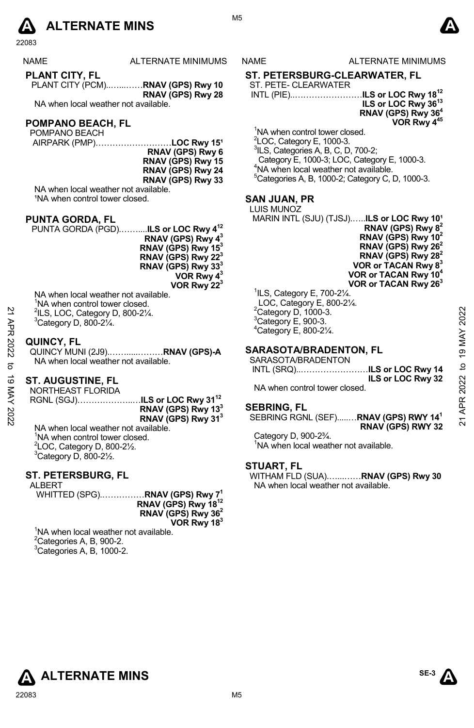

| ٠<br>─<br>٠ |  |
|-------------|--|
|-------------|--|

NAME ALTERNATE MINIMUMS NAME ALTERNATE MINIMUMS

**PLANT CITY, FL**  PLANT CITY (PCM)..…...……**RNAV (GPS) Rwy 10 RNAV (GPS) Rwy 28** 

NA when local weather not available.

# **POMPANO BEACH, FL**

POMPANO BEACH

AIRPARK (PMP)..........................LOC Rwy 15<sup>1</sup> **RNAV (GPS) Rwy 6 RNAV (GPS) Rwy 15 RNAV (GPS) Rwy 24 RNAV (GPS) Rwy 33** 

NA when local weather not available. <sup>1</sup>NA when control tower closed.

#### **PUNTA GORDA, FL**

PUNTA GORDA (PGD).……....**ILS or LOC Rwy 412 RNAV (GPS) Rwy 43 RNAV (GPS) Rwy 153 RNAV (GPS) Rwy 223 RNAV (GPS) Rwy 333 VOR Rwy 43 VOR Rwy 223** 

NA when local weather not available. <sup>1</sup>NA when control tower closed. 2 ILS, LOC, Category D, 800-2¼.

 $3$ Category D, 800-2 $\frac{1}{4}$ .

#### **QUINCY, FL**

QUINCY MUNI (2J9).…….....………**RNAV (GPS)-A** NA when local weather not available.

# **ST. AUGUSTINE, FL**

NORTHEAST FLORIDA RGNL (SGJ)………………..…**ILS or LOC Rwy 3112 RNAV (GPS) Rwy 133 RNAV (GPS) Rwy 313** 21 APR 2022 to 19 MAY 202221 APR 2022 to 19 MAY 2022

NA when local weather not available. <sup>1</sup>NA when control tower closed.  $2$ LOC, Category D, 800-2 $\frac{1}{2}$ .  $3$ Category D, 800-2 $\frac{1}{2}$ .

# **ST. PETERSBURG, FL**

ALBERT WHITTED (SPG).……………**RNAV (GPS) Rwy 71 RNAV (GPS) Rwy 1812 RNAV (GPS) Rwy 362 VOR Rwy 183** 

<sup>1</sup>NA when local weather not available.  ${}^{2}$ Categories A, B, 900-2.  ${}^{3}$ Categories A, B, 1000-2.

**A** 

# **ST. PETERSBURG-CLEARWATER, FL**

#### ST. PETE- CLEARWATER INTL (PIE)..……………………**ILS or LOC Rwy 1812**

# **ILS or LOC Rwy 3613 RNAV (GPS) Rwy 364**

**VOR Rwy 41** 

<sup>1</sup>NA when control tower closed.

<sup>2</sup>LOC, Category E, 1000-3.<br><sup>3</sup>ILS, Categories A, B, C, D, 700-2; Category E, 1000-3; LOC, Category E, 1000-3. 4 <sup>4</sup>NA when local weather not available. 5 Categories A, B, 1000-2; Category C, D, 1000-3.

# **SAN JUAN, PR**

LUIS MUNOZ MARIN INTL (SJU) (TJSJ)......ILS or LOC Rwy 10<sup>1</sup> **RNAV (GPS) Rwy 82** 

**RNAV (GPS) Rwy 102 RNAV (GPS) Rwy 262 RNAV (GPS) Rwy 282 VOR or TACAN Rwy 83 VOR or TACAN Rwy 104 VOR or TACAN Rwy 263** 

 ILS, Category E, 700-2¼. LOC, Category E, 800-2¼. Category D, 1000-3. Category E, 900-3. Category E, 800-2 $\frac{1}{4}$ .

# **SARASOTA/BRADENTON, FL**

SARASOTA/BRADENTON

INTL (SRQ)..……………………**ILS or LOC Rwy 14 ILS or LOC Rwy 32** 

NA when control tower closed.

#### **SEBRING, FL**

SEBRING RGNL (SEF).....…**RNAV (GPS) RWY 141 RNAV (GPS) RWY 32**

Category D, 900-2¾. <sup>1</sup>NA when local weather not available.

# **STUART, FL**

WITHAM FLD (SUA).…...……**RNAV (GPS) Rwy 30**  NA when local weather not available.





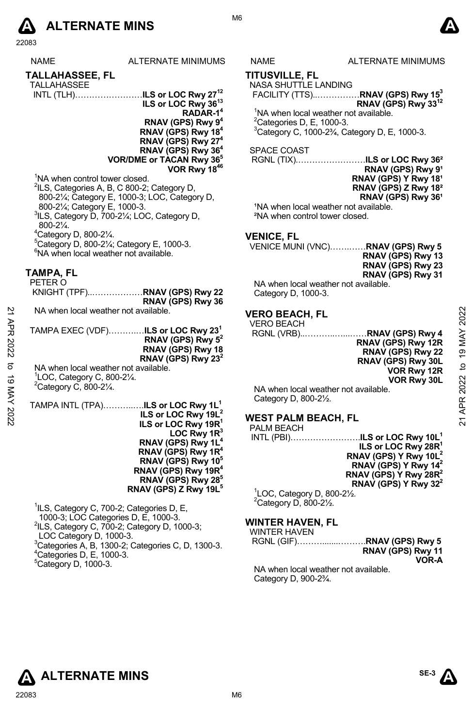

|             | <b>NAME</b>                                                                     | <b>ALTERNATE MINIMUMS</b>                                                               | <b>NAME</b>                        | <b>ALTERNATE MINIMUMS</b>                                                            |                 |
|-------------|---------------------------------------------------------------------------------|-----------------------------------------------------------------------------------------|------------------------------------|--------------------------------------------------------------------------------------|-----------------|
|             | TALLAHASSEE, FL                                                                 |                                                                                         | <b>TITUSVILLE, FL</b>              |                                                                                      |                 |
|             | <b>TALLAHASSEE</b>                                                              |                                                                                         | NASA SHUTTLE LANDING               |                                                                                      |                 |
|             |                                                                                 | INTL (TLH)ILS or LOC Rwy 27 <sup>12</sup>                                               |                                    | FACILITY (TTS)RNAV (GPS) Rwy 15 <sup>3</sup>                                         |                 |
|             |                                                                                 | ILS or LOC Rwy 36 <sup>13</sup>                                                         |                                    | RNAV (GPS) Rwy 33 <sup>12</sup>                                                      |                 |
|             |                                                                                 | RADAR-1 <sup>4</sup><br>RNAV (GPS) Rwy 9 <sup>4</sup>                                   | ${}^{2}$ Categories D, E, 1000-3.  | <sup>1</sup> NA when local weather not available.                                    |                 |
|             |                                                                                 | RNAV (GPS) Rwy 18 <sup>4</sup>                                                          |                                    | <sup>3</sup> Category C, 1000-2 <sup>3</sup> / <sub>4</sub> , Category D, E, 1000-3. |                 |
|             |                                                                                 | RNAV (GPS) Rwy 27 <sup>4</sup>                                                          |                                    |                                                                                      |                 |
|             |                                                                                 | RNAV (GPS) Rwy 36 <sup>4</sup>                                                          | SPACE COAST                        |                                                                                      |                 |
|             |                                                                                 | <b>VOR/DME or TACAN Rwy 36°</b>                                                         |                                    | RGNL (TIX)ILS or LOC Rwy 36 <sup>2</sup>                                             |                 |
|             | <sup>1</sup> NA when control tower closed.                                      | VOR Rwy 1846                                                                            |                                    | RNAV (GPS) Rwy 91<br>RNAV (GPS) Y Rwy 18 <sup>1</sup>                                |                 |
|             |                                                                                 | <sup>2</sup> ILS, Categories A, B, C 800-2; Category D,                                 |                                    | RNAV (GPS) Z Rwy 18 <sup>2</sup>                                                     |                 |
|             |                                                                                 | 800-21/4; Category E, 1000-3; LOC, Category D,                                          |                                    | RNAV (GPS) Rwy 36 <sup>1</sup>                                                       |                 |
|             | 800-21/ <sub>4</sub> ; Category E, 1000-3.                                      |                                                                                         |                                    | <sup>1</sup> NA when local weather not available.                                    |                 |
|             | $800 - 2\frac{1}{4}$ .                                                          | <sup>3</sup> ILS, Category D, 700-21/ <sub>4</sub> ; LOC, Category D,                   |                                    | <sup>2</sup> NA when control tower closed.                                           |                 |
|             | $4$ Category D, 800-2 $\frac{1}{4}$ .                                           |                                                                                         | <b>VENICE, FL</b>                  |                                                                                      |                 |
|             |                                                                                 | <sup>5</sup> Category D, 800-21/ <sub>4</sub> ; Category E, 1000-3.                     |                                    | VENICE MUNI (VNC)RNAV (GPS) Rwy 5                                                    |                 |
|             | <sup>6</sup> NA when local weather not available.                               |                                                                                         |                                    | RNAV (GPS) Rwy 13                                                                    |                 |
|             |                                                                                 |                                                                                         |                                    | RNAV (GPS) Rwy 23                                                                    |                 |
|             | TAMPA, FL<br>PETER O                                                            |                                                                                         |                                    | RNAV (GPS) Rwy 31                                                                    |                 |
|             |                                                                                 | KNIGHT (TPF)RNAV (GPS) Rwy 22                                                           | Category D, 1000-3.                | NA when local weather not available.                                                 |                 |
|             |                                                                                 | RNAV (GPS) Rwy 36                                                                       |                                    |                                                                                      |                 |
| 21 APR 2022 | NA when local weather not available.                                            |                                                                                         | <b>VERO BEACH. FL</b>              |                                                                                      | 2022            |
|             |                                                                                 | TAMPA EXEC (VDF)ILS or LOC Rwy 23 <sup>1</sup>                                          | <b>VERO BEACH</b>                  |                                                                                      |                 |
|             |                                                                                 | RNAV (GPS) Rwy $5^2$                                                                    |                                    | RNAV (GPS) Rwy 12R                                                                   | 19 MAY          |
|             |                                                                                 | RNAV (GPS) Rwy 18                                                                       |                                    | RNAV (GPS) Rwy 22                                                                    |                 |
| ಕ           |                                                                                 | RNAV (GPS) Rwy 23 <sup>2</sup>                                                          |                                    | RNAV (GPS) Rwy 30L                                                                   |                 |
|             | NA when local weather not available.<br><sup>1</sup> LOC, Category C, 800-21/4. |                                                                                         |                                    | VOR Rwy 12R                                                                          | $\mathbf{a}$    |
|             | $2$ Category C, 800-2 $\frac{1}{4}$ .                                           |                                                                                         |                                    | VOR Rwy 30L                                                                          |                 |
|             |                                                                                 |                                                                                         | Category D, 800-21/2.              | NA when local weather not available.                                                 |                 |
|             |                                                                                 | TAMPA INTL (TPA)ILS or LOC Rwy 1L <sup>1</sup>                                          |                                    |                                                                                      | APR 2022        |
| 19 MAY 2022 |                                                                                 | ILS or LOC Rwy 19L <sup>2</sup>                                                         | <b>WEST PALM BEACH, FL</b>         |                                                                                      | $\overline{21}$ |
|             |                                                                                 | ILS or LOC Rwy 19R <sup>1</sup><br>LOC Rwy $1R^3$                                       | PALM BEACH                         |                                                                                      |                 |
|             |                                                                                 | RNAV (GPS) Rwy 1L <sup>4</sup>                                                          |                                    | INTL (PBI)ILS or LOC Rwy 10L <sup>1</sup><br>ILS or LOC Rwy 28R <sup>1</sup>         |                 |
|             |                                                                                 | RNAV (GPS) Rwy 1R <sup>4</sup>                                                          |                                    | RNAV (GPS) Y Rwy 10L <sup>2</sup>                                                    |                 |
|             |                                                                                 | RNAV (GPS) Rwy 10 <sup>5</sup>                                                          |                                    | RNAV (GPS) Y Rwy $142$                                                               |                 |
|             |                                                                                 | RNAV (GPS) Rwy 19R <sup>4</sup><br>RNAV (GPS) Rwy 28 <sup>5</sup>                       |                                    | RNAV (GPS) Y Rwy 28R <sup>2</sup>                                                    |                 |
|             |                                                                                 | RNAV (GPS) Z Rwy 19L <sup>5</sup>                                                       |                                    | RNAV (GPS) Y Rwy $32^2$<br><sup>1</sup> LOC, Category D, 800-21/2.                   |                 |
|             |                                                                                 |                                                                                         | <sup>2</sup> Category D, 800-21/2. |                                                                                      |                 |
|             |                                                                                 | <sup>1</sup> ILS, Category C, 700-2; Categories D, E,                                   |                                    |                                                                                      |                 |
|             |                                                                                 | 1000-3; LOC Categories D, E, 1000-3.<br>$2$ ILS, Category C, 700-2; Category D, 1000-3; | <b>WINTER HAVEN, FL</b>            |                                                                                      |                 |
|             | LOC Category D, 1000-3.                                                         |                                                                                         | <b>WINTER HAVEN</b>                |                                                                                      |                 |
|             |                                                                                 | <sup>3</sup> Categories A, B, 1300-2; Categories C, D, 1300-3.                          |                                    | RGNL (GIF)RNAV (GPS) Rwy 5<br>RNAV (GPS) Rwy 11                                      |                 |
|             | <sup>4</sup> Categories D, E, 1000-3.                                           |                                                                                         |                                    | VOR-A                                                                                |                 |
|             | <sup>5</sup> Category D, 1000-3.                                                |                                                                                         |                                    | KIA podered the continue with a concentration of the form                            |                 |

M6

#### NAME ALTERNATE MINIMUMS

**A** 

#### **TITUSVILLE, FL**  NASA SHUTTLE LANDING

# SPACE COAST

# **VENICE, FL**

| RNAV (GPS) RWY 5  |
|-------------------|
| RNAV (GPS) Rwy 13 |
| RNAV (GPS) Rwy 23 |
| RNAV (GPS) Rwy 31 |
| 4. 11. 1. . 1     |

# **VERO BEACH, FL**

| <b>VERO BEACH</b>                    |                    |
|--------------------------------------|--------------------|
|                                      |                    |
|                                      | RNAV (GPS) Rwy 12R |
|                                      | RNAV (GPS) Rwy 22  |
|                                      | RNAV (GPS) Rwy 30L |
|                                      | VOR Rwy 12R        |
|                                      | VOR Rwy 30L        |
| NA when local weather not available. |                    |
| Category D, 800-21/2.                |                    |

# **WEST PALM BEACH, FL**

# **WINTER HAVEN, FL**

NA when local weather not available. Category D, 900-2¾.